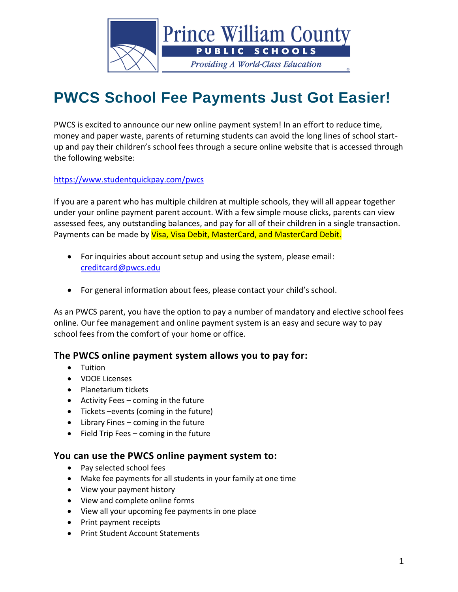

# **PWCS School Fee Payments Just Got Easier!**

PWCS is excited to announce our new online payment system! In an effort to reduce time, money and paper waste, parents of returning students can avoid the long lines of school startup and pay their children's school fees through a secure online website that is accessed through the following website:

<https://www.studentquickpay.com/pwcs>

If you are a parent who has multiple children at multiple schools, they will all appear together under your online payment parent account. With a few simple mouse clicks, parents can view assessed fees, any outstanding balances, and pay for all of their children in a single transaction. Payments can be made by Visa, Visa Debit, MasterCard, and MasterCard Debit.

- For inquiries about account setup and using the system, please email: [creditcard@pwcs.edu](mailto:creditcard@pwcs.edu)
- For general information about fees, please contact your child's school.

As an PWCS parent, you have the option to pay a number of mandatory and elective school fees online. Our fee management and online payment system is an easy and secure way to pay school fees from the comfort of your home or office.

### **The PWCS online payment system allows you to pay for:**

- Tuition
- VDOE Licenses
- Planetarium tickets
- Activity Fees coming in the future
- Tickets –events (coming in the future)
- Library Fines coming in the future
- Field Trip Fees coming in the future

#### **You can use the PWCS online payment system to:**

- Pay selected school fees
- Make fee payments for all students in your family at one time
- View your payment history
- View and complete online forms
- View all your upcoming fee payments in one place
- Print payment receipts
- Print Student Account Statements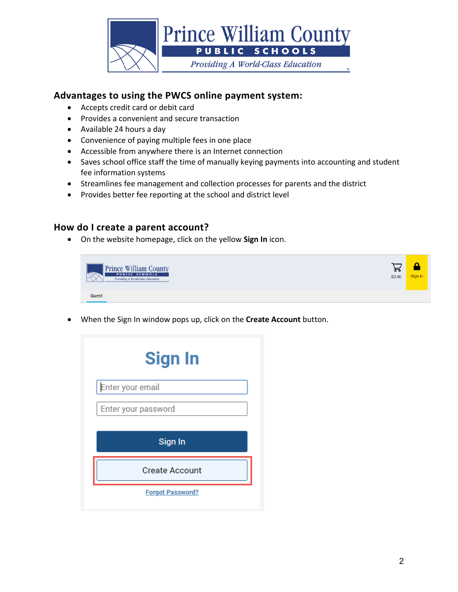

## **Advantages to using the PWCS online payment system:**

- Accepts credit card or debit card
- Provides a convenient and secure transaction
- Available 24 hours a day
- Convenience of paying multiple fees in one place
- Accessible from anywhere there is an Internet connection
- Saves school office staff the time of manually keying payments into accounting and student fee information systems
- Streamlines fee management and collection processes for parents and the district
- Provides better fee reporting at the school and district level

#### **How do I create a parent account?**

• On the website homepage, click on the yellow **Sign In** icon.



• When the Sign In window pops up, click on the **Create Account** button.

| <b>Sign In</b>        |
|-----------------------|
| Enter your email      |
| Enter your password   |
|                       |
| Sign In               |
| <b>Create Account</b> |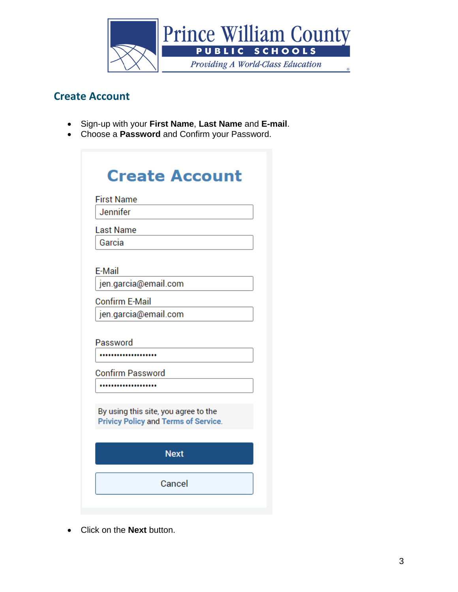

# **Create Account**

- Sign-up with your **First Name**, **Last Name** and **E-mail**.
- Choose a **Password** and Confirm your Password.

| <b>First Name</b>       |                                                                                     |
|-------------------------|-------------------------------------------------------------------------------------|
| Jennifer                |                                                                                     |
| <b>Last Name</b>        |                                                                                     |
| Garcia                  |                                                                                     |
| E-Mail                  |                                                                                     |
| jen.garcia@email.com    |                                                                                     |
| <b>Confirm E-Mail</b>   |                                                                                     |
| jen.garcia@email.com    |                                                                                     |
| Password                |                                                                                     |
| <b>Confirm Password</b> |                                                                                     |
|                         |                                                                                     |
|                         | By using this site, you agree to the<br><b>Privicy Policy and Terms of Service.</b> |
|                         | <b>Next</b>                                                                         |
|                         |                                                                                     |

• Click on the **Next** button.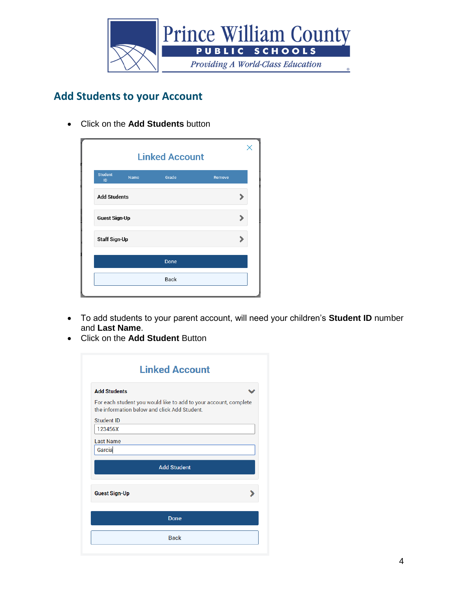

# **Add Students to your Account**

• Click on the **Add Students** button

| Grade | Remove |                       |
|-------|--------|-----------------------|
|       |        |                       |
|       |        |                       |
|       |        |                       |
| Done  |        |                       |
| Back  |        |                       |
|       |        | <b>Linked Account</b> |

- To add students to your parent account, will need your children's **Student ID** number and **Last Name**.
- Click on the **Add Student** Button

| <b>Linked Account</b>                                                                                            |
|------------------------------------------------------------------------------------------------------------------|
|                                                                                                                  |
| For each student you would like to add to your account, complete<br>the information below and click Add Student. |
|                                                                                                                  |
|                                                                                                                  |
|                                                                                                                  |
|                                                                                                                  |
| <b>Add Student</b>                                                                                               |
|                                                                                                                  |
| Done                                                                                                             |
|                                                                                                                  |
|                                                                                                                  |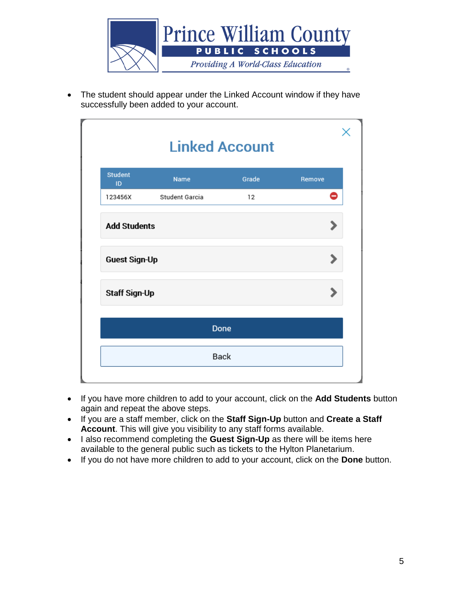

• The student should appear under the Linked Account window if they have successfully been added to your account.

|                      | <b>Linked Account</b> |       |        |
|----------------------|-----------------------|-------|--------|
| <b>Student</b><br>ID | Name                  | Grade | Remove |
| 123456X              | Student Garcia        | 12    | 0      |
| <b>Add Students</b>  |                       |       |        |
| <b>Guest Sign-Up</b> |                       |       |        |
| <b>Staff Sign-Up</b> |                       |       |        |
|                      | Done                  |       |        |
|                      | Back                  |       |        |
|                      |                       |       |        |

- If you have more children to add to your account, click on the **Add Students** button again and repeat the above steps.
- If you are a staff member, click on the **Staff Sign-Up** button and **Create a Staff Account**. This will give you visibility to any staff forms available.
- I also recommend completing the **Guest Sign-Up** as there will be items here available to the general public such as tickets to the Hylton Planetarium.
- If you do not have more children to add to your account, click on the **Done** button.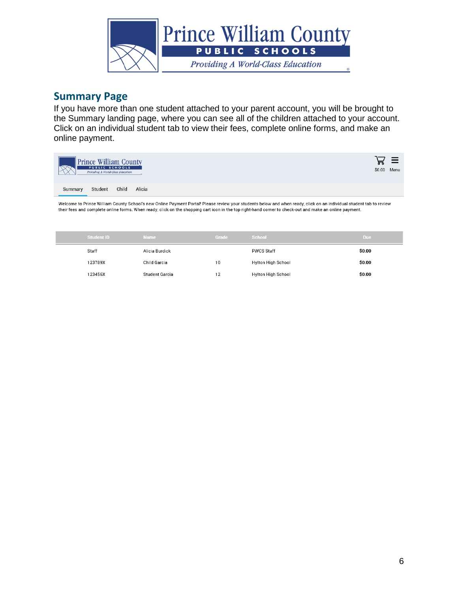

## **Summary Page**

If you have more than one student attached to your parent account, you will be brought to the Summary landing page, where you can see all of the children attached to your account. Click on an individual student tab to view their fees, complete online forms, and make an online payment.

| <b>Prince William County</b><br><b>PUBLIC SCHOOLS</b><br>Providing A World-Class Education | ৽৽ | \$0.00 Menu |
|--------------------------------------------------------------------------------------------|----|-------------|
| Child<br>Alicia<br>Student<br>Summary                                                      |    |             |

Welcome to Prince William County School's new Online Payment Portal! Please review your students below and when ready, click on an individual student tab to review their fees and complete online forms. When ready, click on the shopping cart icon in the top right-hand corner to check-out and make an online payment.

| <b>Student ID</b> | <b>Name</b>    | Grade | School                    | Due.   |
|-------------------|----------------|-------|---------------------------|--------|
| Staff             | Alicia Burdick |       | <b>PWCS Staff</b>         | \$0.00 |
| 123789X           | Child Garcia   | 10    | <b>Hylton High School</b> | \$0.00 |
| 123456X           | Student Garcia | 12    | Hylton High School        | \$0.00 |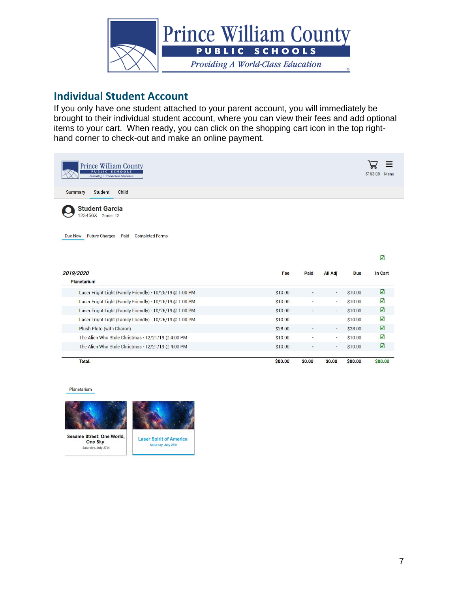

# **Individual Student Account**

If you only have one student attached to your parent account, you will immediately be brought to their individual student account, where you can view their fees and add optional items to your cart. When ready, you can click on the shopping cart icon in the top righthand corner to check-out and make an online payment.

| <b>Prince William County</b><br><b>PUBLIC SCHOOLS</b><br>Providing A World-Class Education                           |         |                          |                          |            | \$153.00<br>Menu                   |
|----------------------------------------------------------------------------------------------------------------------|---------|--------------------------|--------------------------|------------|------------------------------------|
| <b>Summary</b><br><b>Student</b><br>Child                                                                            |         |                          |                          |            |                                    |
| <b>Student Garcia</b><br>123456X Grade: 12<br><b>Future Charges Paid</b><br><b>Due Now</b><br><b>Completed Forms</b> |         |                          |                          |            |                                    |
|                                                                                                                      |         |                          |                          |            |                                    |
| 2019/2020                                                                                                            | Fee     | Paid                     | <b>All Adj</b>           | <b>Due</b> | $\overline{\mathbf{v}}$<br>In Cart |
| <b>Planetarium</b><br>Laser Fright Light (Family Friendly) - 10/26/19 @ 1:00 PM                                      | \$10.00 |                          |                          | \$10.00    | $\boldsymbol{\mathcal{Q}}$         |
| Laser Fright Light (Family Friendly) - 10/26/19 @ 1:00 PM                                                            | \$10.00 | ٠                        | $\overline{\phantom{a}}$ | \$10.00    | $\boldsymbol{\mathsf{z}}$          |
| Laser Fright Light (Family Friendly) - 10/26/19 @ 1:00 PM                                                            | \$10.00 | $\overline{\phantom{a}}$ | $\overline{\phantom{a}}$ | \$10.00    | $\boldsymbol{\nabla}$              |
| Laser Fright Light (Family Friendly) - 10/26/19 @ 1:00 PM                                                            | \$10.00 | $\overline{\phantom{a}}$ | $\overline{\phantom{a}}$ | \$10.00    | $\boldsymbol{\nabla}$              |
| Plush Pluto (with Charon)                                                                                            | \$28.00 | $\overline{\phantom{a}}$ | $\overline{\phantom{a}}$ | \$28.00    | $\boldsymbol{\nabla}$              |
| The Alien Who Stole Christmas - 12/21/19 @ 4:00 PM                                                                   | \$10.00 | ۰                        | $\bullet$                | \$10.00    | $\overline{\mathbf{v}}$            |
| The Alien Who Stole Christmas - 12/21/19 @ 4:00 PM                                                                   | \$10.00 |                          | ۰                        | \$10.00    | $\triangledown$                    |

Planetarium



One Sky

Saturday, July 27th



Saturday, July 27th